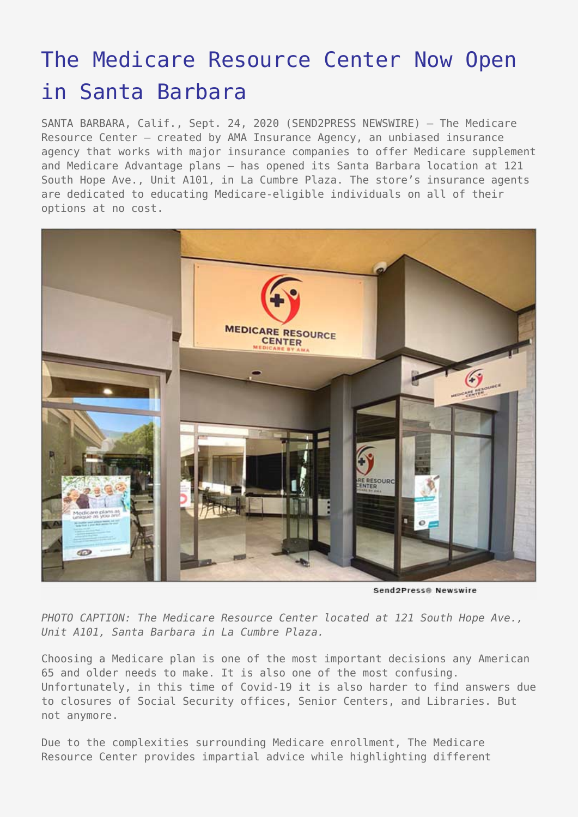## [The Medicare Resource Center Now Open](https://www.send2press.com/wire/the-medicare-resource-center-now-open-in-santa-barbara/) [in Santa Barbara](https://www.send2press.com/wire/the-medicare-resource-center-now-open-in-santa-barbara/)

SANTA BARBARA, Calif., Sept. 24, 2020 (SEND2PRESS NEWSWIRE) — The Medicare Resource Center — created by AMA Insurance Agency, an unbiased insurance agency that works with major insurance companies to offer Medicare supplement and Medicare Advantage plans — has opened its Santa Barbara location at 121 South Hope Ave., Unit A101, in La Cumbre Plaza. The store's insurance agents are dedicated to educating Medicare-eligible individuals on all of their options at no cost.



Send2Press® Newswire

*PHOTO CAPTION: The Medicare Resource Center located at 121 South Hope Ave., Unit A101, Santa Barbara in La Cumbre Plaza.*

Choosing a Medicare plan is one of the most important decisions any American 65 and older needs to make. It is also one of the most confusing. Unfortunately, in this time of Covid-19 it is also harder to find answers due to closures of Social Security offices, Senior Centers, and Libraries. But not anymore.

Due to the complexities surrounding Medicare enrollment, The Medicare Resource Center provides impartial advice while highlighting different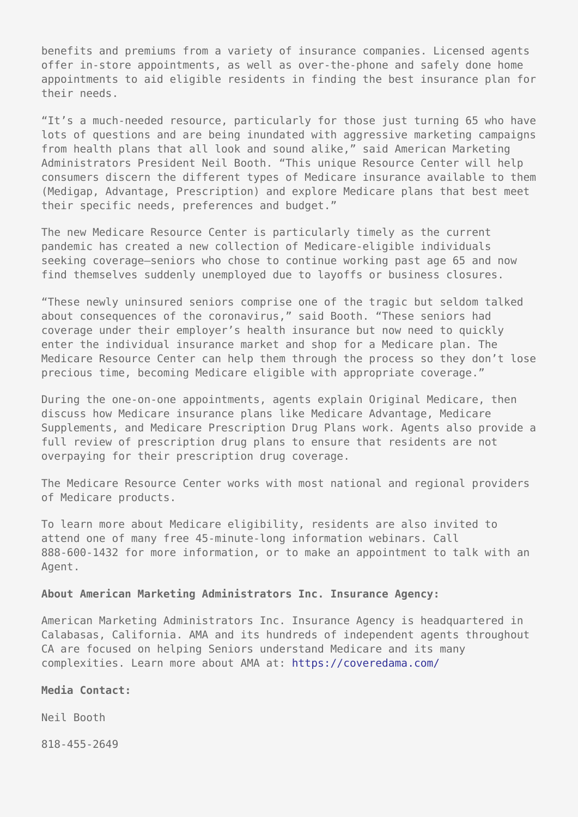benefits and premiums from a variety of insurance companies. Licensed agents offer in-store appointments, as well as over-the-phone and safely done home appointments to aid eligible residents in finding the best insurance plan for their needs.

"It's a much-needed resource, particularly for those just turning 65 who have lots of questions and are being inundated with aggressive marketing campaigns from health plans that all look and sound alike," said American Marketing Administrators President Neil Booth. "This unique Resource Center will help consumers discern the different types of Medicare insurance available to them (Medigap, Advantage, Prescription) and explore Medicare plans that best meet their specific needs, preferences and budget."

The new Medicare Resource Center is particularly timely as the current pandemic has created a new collection of Medicare-eligible individuals seeking coverage—seniors who chose to continue working past age 65 and now find themselves suddenly unemployed due to layoffs or business closures.

"These newly uninsured seniors comprise one of the tragic but seldom talked about consequences of the coronavirus," said Booth. "These seniors had coverage under their employer's health insurance but now need to quickly enter the individual insurance market and shop for a Medicare plan. The Medicare Resource Center can help them through the process so they don't lose precious time, becoming Medicare eligible with appropriate coverage."

During the one-on-one appointments, agents explain Original Medicare, then discuss how Medicare insurance plans like Medicare Advantage, Medicare Supplements, and Medicare Prescription Drug Plans work. Agents also provide a full review of prescription drug plans to ensure that residents are not overpaying for their prescription drug coverage.

The Medicare Resource Center works with most national and regional providers of Medicare products.

To learn more about Medicare eligibility, residents are also invited to attend one of many free 45-minute-long information webinars. Call 888-600-1432 for more information, or to make an appointment to talk with an Agent.

## **About American Marketing Administrators Inc. Insurance Agency:**

American Marketing Administrators Inc. Insurance Agency is headquartered in Calabasas, California. AMA and its hundreds of independent agents throughout CA are focused on helping Seniors understand Medicare and its many complexities. Learn more about AMA at: <https://coveredama.com/>

## **Media Contact:**

Neil Booth

818-455-2649